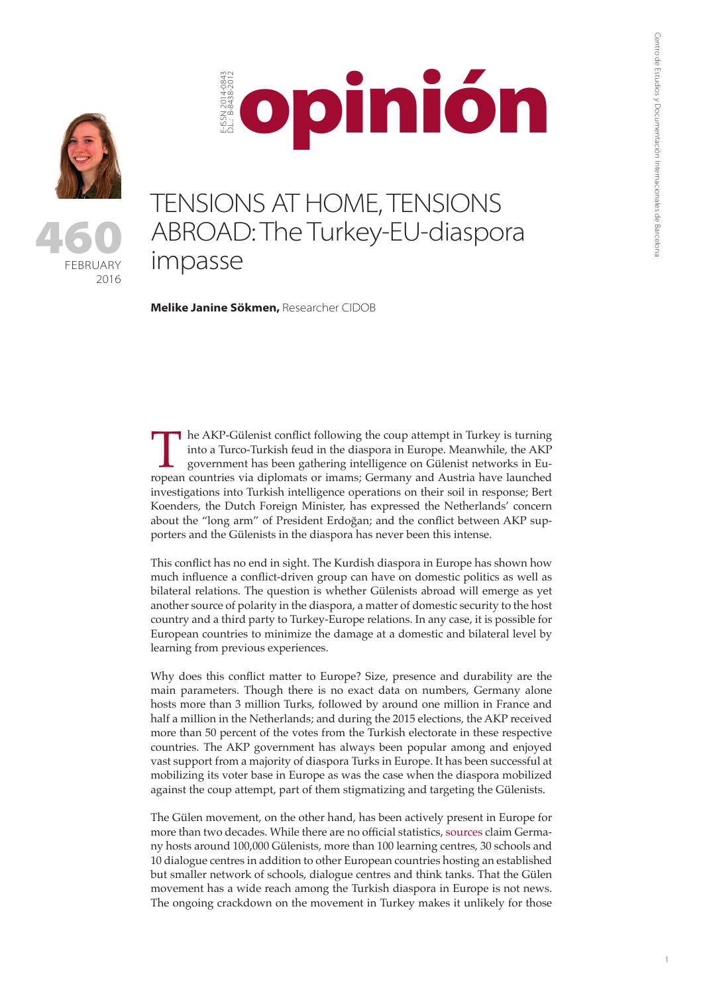1





## opiniónE-ISSN 2014-0843 D.L.: B-8438-2012 -ISSN 2014-084<br>LL: B-8438-201

## TENSIONS AT HOME, TENSIONS ABROAD: The Turkey-EU-diaspora impasse

**Melike Janine Sökmen,** Researcher CIDOB

In the AKP-Gülenist conflict following the coup attempt in Turkey is turning into a Turco-Turkish feud in the diaspora in Europe. Meanwhile, the AKP government has been gathering intelligence on Gülenist networks in Europe into a Turco-Turkish feud in the diaspora in Europe. Meanwhile, the AKP government has been gathering intelligence on Gülenist networks in Euinvestigations into Turkish intelligence operations on their soil in response; Bert Koenders, the Dutch Foreign Minister, has expressed the Netherlands' concern about the "long arm" of President Erdoğan; and the conflict between AKP supporters and the Gülenists in the diaspora has never been this intense.

This conflict has no end in sight. The Kurdish diaspora in Europe has shown how much influence a conflict-driven group can have on domestic politics as well as bilateral relations. The question is whether Gülenists abroad will emerge as yet another source of polarity in the diaspora, a matter of domestic security to the host country and a third party to Turkey-Europe relations. In any case, it is possible for European countries to minimize the damage at a domestic and bilateral level by learning from previous experiences.

Why does this conflict matter to Europe? Size, presence and durability are the main parameters. Though there is no exact data on numbers, Germany alone hosts more than 3 million Turks, followed by around one million in France and half a million in the Netherlands; and during the 2015 elections, the AKP received more than 50 percent of the votes from the Turkish electorate in these respective countries. The AKP government has always been popular among and enjoyed vast support from a majority of diaspora Turks in Europe. It has been successful at mobilizing its voter base in Europe as was the case when the diaspora mobilized against the coup attempt, part of them stigmatizing and targeting the Gülenists.

The Gülen movement, on the other hand, has been actively present in Europe for more than two decades. While there are no official statistics, [sources](http://www.politico.eu/article/sleepless-nights-for-fetullah-gulen-supporters-in-europe-erdogan-turkey-coup/) claim Germany hosts around 100,000 Gülenists, more than 100 learning centres, 30 schools and 10 dialogue centres in addition to other European countries hosting an established but smaller network of schools, dialogue centres and think tanks. That the Gülen movement has a wide reach among the Turkish diaspora in Europe is not news. The ongoing crackdown on the movement in Turkey makes it unlikely for those